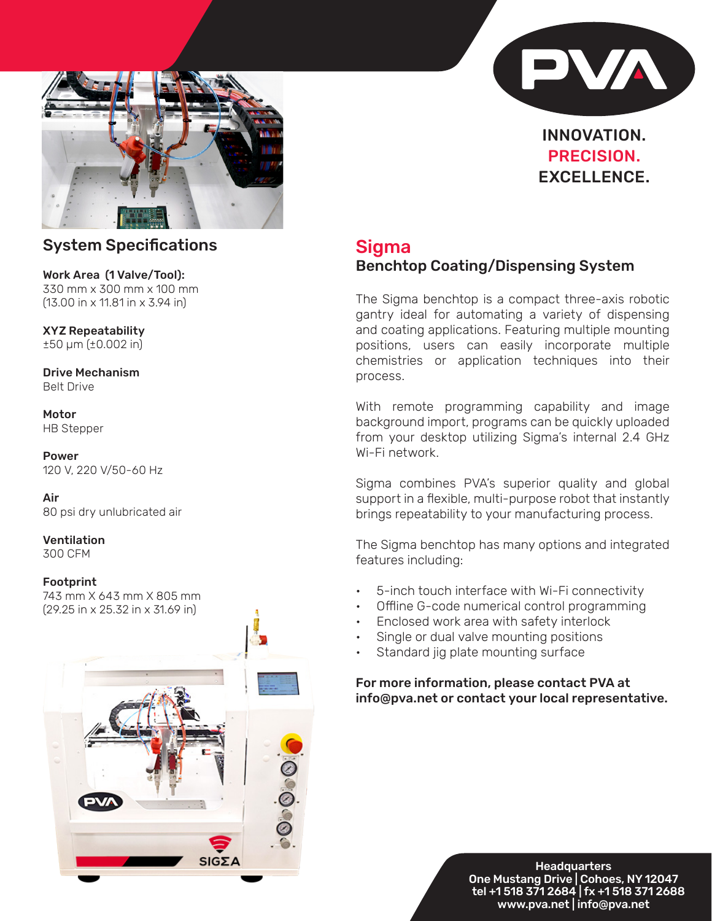



## INNOVATION. PRECISION. EXCELLENCE.

## System Specifications

Work Area (1 Valve/Tool): 330 mm x 300 mm x 100 mm (13.00 in x 11.81 in x 3.94 in)

XYZ Repeatability ±50 μm (±0.002 in)

Drive Mechanism Belt Drive

Motor HB Stepper

Power 120 V, 220 V/50-60 Hz

Air 80 psi dry unlubricated air

Ventilation 300 CFM

#### Footprint

743 mm X 643 mm X 805 mm (29.25 in x 25.32 in x 31.69 in)



# Sigma

### Benchtop Coating/Dispensing System

The Sigma benchtop is a compact three-axis robotic gantry ideal for automating a variety of dispensing and coating applications. Featuring multiple mounting positions, users can easily incorporate multiple chemistries or application techniques into their process.

With remote programming capability and image background import, programs can be quickly uploaded from your desktop utilizing Sigma's internal 2.4 GHz Wi-Fi network.

Sigma combines PVA's superior quality and global support in a flexible, multi-purpose robot that instantly brings repeatability to your manufacturing process.

The Sigma benchtop has many options and integrated features including:

- 5-inch touch interface with Wi-Fi connectivity
- Offline G-code numerical control programming
- Enclosed work area with safety interlock
- Single or dual valve mounting positions
- Standard jig plate mounting surface

### For more information, please contact PVA at info@pva.net or contact your local representative.

**Headquarters** One Mustang Drive | Cohoes, NY 12047 tel +1 518 371 2684 | fx +1 518 371 2688 www.pva.net | info@pva.net